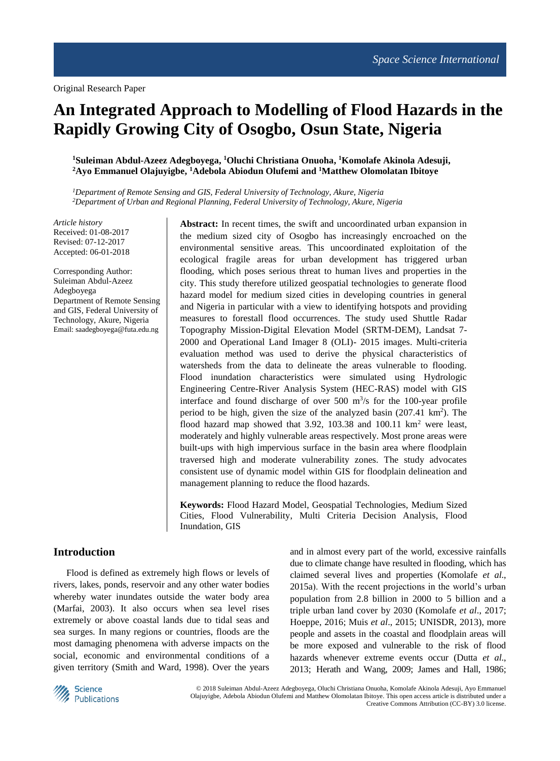# **An Integrated Approach to Modelling of Flood Hazards in the Rapidly Growing City of Osogbo, Osun State, Nigeria**

## **<sup>1</sup>Suleiman Abdul-Azeez Adegboyega, <sup>1</sup>Oluchi Christiana Onuoha, <sup>1</sup>Komolafe Akinola Adesuji, <sup>2</sup>Ayo Emmanuel Olajuyigbe, <sup>1</sup>Adebola Abiodun Olufemi and <sup>1</sup>Matthew Olomolatan Ibitoye**

*<sup>1</sup>Department of Remote Sensing and GIS, Federal University of Technology, Akure, Nigeria <sup>2</sup>Department of Urban and Regional Planning, Federal University of Technology, Akure, Nigeria*

*Article history* Received: 01-08-2017 Revised: 07-12-2017 Accepted: 06-01-2018

Corresponding Author: Suleiman Abdul-Azeez Adegboyega Department of Remote Sensing and GIS, Federal University of Technology, Akure, Nigeria Email: saadegboyega@futa.edu.ng

**Abstract:** In recent times, the swift and uncoordinated urban expansion in the medium sized city of Osogbo has increasingly encroached on the environmental sensitive areas. This uncoordinated exploitation of the ecological fragile areas for urban development has triggered urban flooding, which poses serious threat to human lives and properties in the city. This study therefore utilized geospatial technologies to generate flood hazard model for medium sized cities in developing countries in general and Nigeria in particular with a view to identifying hotspots and providing measures to forestall flood occurrences. The study used Shuttle Radar Topography Mission-Digital Elevation Model (SRTM-DEM), Landsat 7- 2000 and Operational Land Imager 8 (OLI)- 2015 images. Multi-criteria evaluation method was used to derive the physical characteristics of watersheds from the data to delineate the areas vulnerable to flooding. Flood inundation characteristics were simulated using Hydrologic Engineering Centre-River Analysis System (HEC-RAS) model with GIS interface and found discharge of over  $500 \text{ m}^3\text{/s}$  for the 100-year profile period to be high, given the size of the analyzed basin (207.41 km<sup>2</sup>). The flood hazard map showed that  $3.92$ ,  $103.38$  and  $100.11$  km<sup>2</sup> were least, moderately and highly vulnerable areas respectively. Most prone areas were built-ups with high impervious surface in the basin area where floodplain traversed high and moderate vulnerability zones. The study advocates consistent use of dynamic model within GIS for floodplain delineation and management planning to reduce the flood hazards.

**Keywords:** Flood Hazard Model, Geospatial Technologies, Medium Sized Cities, Flood Vulnerability, Multi Criteria Decision Analysis, Flood Inundation, GIS

# **Introduction**

Flood is defined as extremely high flows or levels of rivers, lakes, ponds, reservoir and any other water bodies whereby water inundates outside the water body area (Marfai, 2003). It also occurs when sea level rises extremely or above coastal lands due to tidal seas and sea surges. In many regions or countries, floods are the most damaging phenomena with adverse impacts on the social, economic and environmental conditions of a given territory (Smith and Ward, 1998). Over the years

and in almost every part of the world, excessive rainfalls due to climate change have resulted in flooding, which has claimed several lives and properties (Komolafe *et al*., 2015a). With the recent projections in the world's urban population from 2.8 billion in 2000 to 5 billion and a triple urban land cover by 2030 (Komolafe *et al*., 2017; Hoeppe, 2016; Muis *et al*., 2015; UNISDR, 2013), more people and assets in the coastal and floodplain areas will be more exposed and vulnerable to the risk of flood hazards whenever extreme events occur (Dutta *et al*., 2013; Herath and Wang, 2009; James and Hall, 1986;



© 2018 Suleiman Abdul-Azeez Adegboyega, Oluchi Christiana Onuoha, Komolafe Akinola Adesuji, Ayo Emmanuel Olajuyigbe, Adebola Abiodun Olufemi and Matthew Olomolatan Ibitoye. This open access article is distributed under a Creative Commons Attribution (CC-BY) 3.0 license.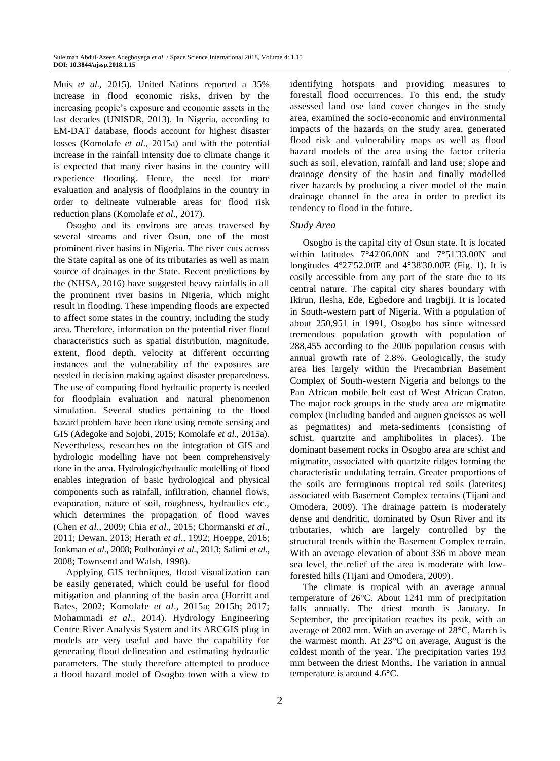Muis *et al*., 2015). United Nations reported a 35% increase in flood economic risks, driven by the increasing people's exposure and economic assets in the last decades (UNISDR, 2013). In Nigeria, according to EM-DAT database, floods account for highest disaster losses (Komolafe *et al*., 2015a) and with the potential increase in the rainfall intensity due to climate change it is expected that many river basins in the country will experience flooding. Hence, the need for more evaluation and analysis of floodplains in the country in order to delineate vulnerable areas for flood risk reduction plans (Komolafe *et al*., 2017).

Osogbo and its environs are areas traversed by several streams and river Osun, one of the most prominent river basins in Nigeria. The river cuts across the State capital as one of its tributaries as well as main source of drainages in the State. Recent predictions by the (NHSA, 2016) have suggested heavy rainfalls in all the prominent river basins in Nigeria, which might result in flooding. These impending floods are expected to affect some states in the country, including the study area. Therefore, information on the potential river flood characteristics such as spatial distribution, magnitude, extent, flood depth, velocity at different occurring instances and the vulnerability of the exposures are needed in decision making against disaster preparedness. The use of computing flood hydraulic property is needed for floodplain evaluation and natural phenomenon simulation. Several studies pertaining to the flood hazard problem have been done using remote sensing and GIS (Adegoke and Sojobi, 2015; Komolafe *et al*., 2015a). Nevertheless, researches on the integration of GIS and hydrologic modelling have not been comprehensively done in the area. Hydrologic/hydraulic modelling of flood enables integration of basic hydrological and physical components such as rainfall, infiltration, channel flows, evaporation, nature of soil, roughness, hydraulics etc., which determines the propagation of flood waves (Chen *et al*., 2009; Chia *et al*., 2015; Chormanski *et al*., 2011; Dewan, 2013; Herath *et al*., 1992; Hoeppe, 2016; Jonkman *et al*., 2008; Podhorányi *et al*., 2013; Salimi *et al*., 2008; Townsend and Walsh, 1998).

Applying GIS techniques, flood visualization can be easily generated, which could be useful for flood mitigation and planning of the basin area (Horritt and Bates, 2002; Komolafe *et al*., 2015a; 2015b; 2017; Mohammadi *et al*., 2014). Hydrology Engineering Centre River Analysis System and its ARCGIS plug in models are very useful and have the capability for generating flood delineation and estimating hydraulic parameters. The study therefore attempted to produce a flood hazard model of Osogbo town with a view to identifying hotspots and providing measures to forestall flood occurrences. To this end, the study assessed land use land cover changes in the study area, examined the socio-economic and environmental impacts of the hazards on the study area, generated flood risk and vulnerability maps as well as flood hazard models of the area using the factor criteria such as soil, elevation, rainfall and land use; slope and drainage density of the basin and finally modelled river hazards by producing a river model of the main drainage channel in the area in order to predict its tendency to flood in the future.

## *Study Area*

Osogbo is the capital city of Osun state. It is located within latitudes  $7^{\circ}42'06.00\text{N}$  and  $7^{\circ}51'33.00\text{N}$  and longitudes  $4^{\circ}27'52.00E$  and  $4^{\circ}38'30.00E$  (Fig. 1). It is easily accessible from any part of the state due to its central nature. The capital city shares boundary with Ikirun, Ilesha, Ede, Egbedore and Iragbiji. It is located in South-western part of Nigeria. With a population of about 250,951 in 1991, Osogbo has since witnessed tremendous population growth with population of 288,455 according to the 2006 population census with annual growth rate of 2.8%. Geologically, the study area lies largely within the Precambrian Basement Complex of South-western Nigeria and belongs to the Pan African mobile belt east of West African Craton. The major rock groups in the study area are migmatite complex (including banded and auguen gneisses as well as pegmatites) and meta-sediments (consisting of schist, quartzite and amphibolites in places). The dominant basement rocks in Osogbo area are schist and migmatite, associated with quartzite ridges forming the characteristic undulating terrain. Greater proportions of the soils are ferruginous tropical red soils (laterites) associated with Basement Complex terrains (Tijani and Omodera, 2009). The drainage pattern is moderately dense and dendritic, dominated by Osun River and its tributaries, which are largely controlled by the structural trends within the Basement Complex terrain. With an average elevation of about 336 m above mean sea level, the relief of the area is moderate with lowforested hills (Tijani and Omodera, 2009).

The climate is tropical with an average annual temperature of 26°C. About 1241 mm of precipitation falls annually. The driest month is January. In September, the precipitation reaches its peak, with an average of 2002 mm. With an average of 28°C, March is the warmest month. At 23°C on average, August is the coldest month of the year. The precipitation varies 193 mm between the driest Months. The variation in annual temperature is around 4.6°C.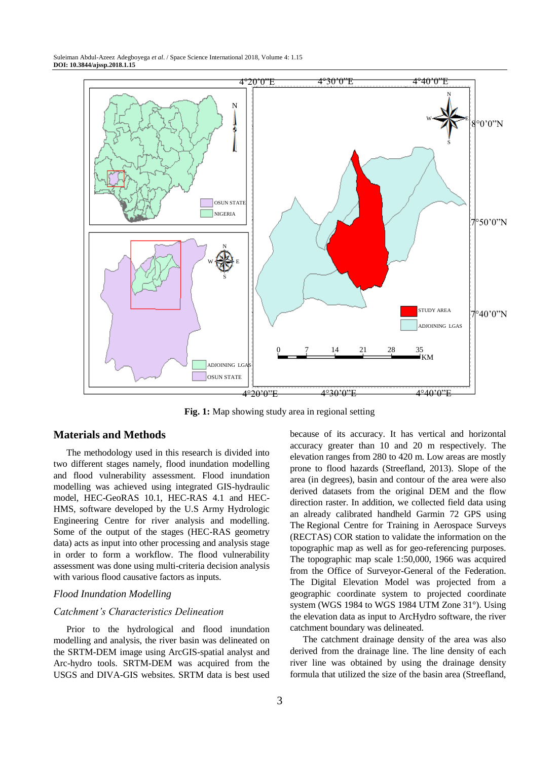

**Fig. 1:** Map showing study area in regional setting

# **Materials and Methods**

The methodology used in this research is divided into two different stages namely, flood inundation modelling and flood vulnerability assessment. Flood inundation modelling was achieved using integrated GIS-hydraulic model, HEC-GeoRAS 10.1, HEC-RAS 4.1 and HEC-HMS, software developed by the U.S Army Hydrologic Engineering Centre for river analysis and modelling. Some of the output of the stages (HEC-RAS geometry data) acts as input into other processing and analysis stage in order to form a workflow. The flood vulnerability assessment was done using multi-criteria decision analysis with various flood causative factors as inputs.

## *Flood Inundation Modelling*

## *Catchment's Characteristics Delineation*

Prior to the hydrological and flood inundation modelling and analysis, the river basin was delineated on the SRTM-DEM image using ArcGIS-spatial analyst and Arc-hydro tools. SRTM-DEM was acquired from the USGS and DIVA-GIS websites. SRTM data is best used

3

because of its accuracy. It has vertical and horizontal accuracy greater than 10 and 20 m respectively. The elevation ranges from 280 to 420 m. Low areas are mostly prone to flood hazards (Streefland, 2013). Slope of the area (in degrees), basin and contour of the area were also derived datasets from the original DEM and the flow direction raster. In addition, we collected field data using an already calibrated handheld Garmin 72 GPS using The Regional Centre for Training in Aerospace Surveys (RECTAS) COR station to validate the information on the topographic map as well as for geo-referencing purposes. The topographic map scale 1:50,000, 1966 was acquired from the Office of Surveyor-General of the Federation. The Digital Elevation Model was projected from a geographic coordinate system to projected coordinate system (WGS 1984 to WGS 1984 UTM Zone 31°). Using the elevation data as input to ArcHydro software, the river catchment boundary was delineated.

The catchment drainage density of the area was also derived from the drainage line. The line density of each river line was obtained by using the drainage density formula that utilized the size of the basin area (Streefland,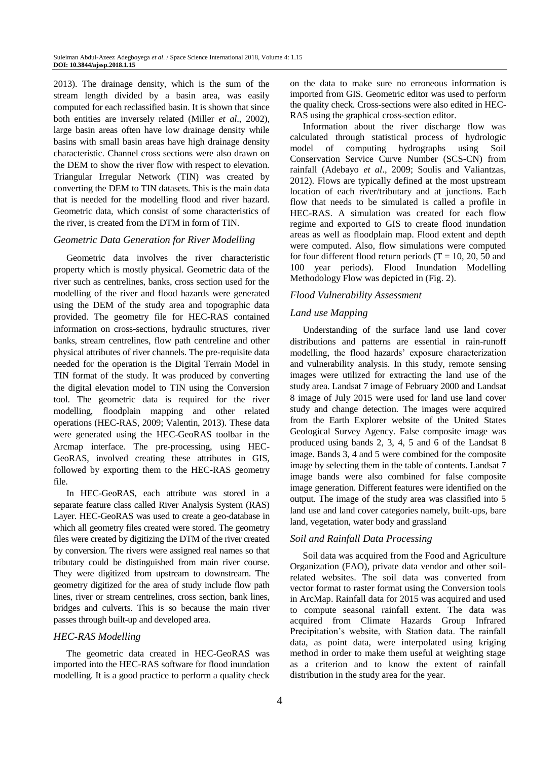2013). The drainage density, which is the sum of the stream length divided by a basin area, was easily computed for each reclassified basin. It is shown that since both entities are inversely related (Miller *et al*., 2002), large basin areas often have low drainage density while basins with small basin areas have high drainage density characteristic. Channel cross sections were also drawn on the DEM to show the river flow with respect to elevation. Triangular Irregular Network (TIN) was created by converting the DEM to TIN datasets. This is the main data that is needed for the modelling flood and river hazard. Geometric data, which consist of some characteristics of the river, is created from the DTM in form of TIN.

## *Geometric Data Generation for River Modelling*

Geometric data involves the river characteristic property which is mostly physical. Geometric data of the river such as centrelines, banks, cross section used for the modelling of the river and flood hazards were generated using the DEM of the study area and topographic data provided. The geometry file for HEC-RAS contained information on cross-sections, hydraulic structures, river banks, stream centrelines, flow path centreline and other physical attributes of river channels. The pre-requisite data needed for the operation is the Digital Terrain Model in TIN format of the study. It was produced by converting the digital elevation model to TIN using the Conversion tool. The geometric data is required for the river modelling, floodplain mapping and other related operations (HEC-RAS, 2009; Valentin, 2013). These data were generated using the HEC-GeoRAS toolbar in the Arcmap interface. The pre-processing, using HEC-GeoRAS, involved creating these attributes in GIS, followed by exporting them to the HEC-RAS geometry file.

In HEC-GeoRAS, each attribute was stored in a separate feature class called River Analysis System (RAS) Layer. HEC-GeoRAS was used to create a geo-database in which all geometry files created were stored. The geometry files were created by digitizing the DTM of the river created by conversion. The rivers were assigned real names so that tributary could be distinguished from main river course. They were digitized from upstream to downstream. The geometry digitized for the area of study include flow path lines, river or stream centrelines, cross section, bank lines, bridges and culverts. This is so because the main river passes through built-up and developed area.

#### *HEC-RAS Modelling*

The geometric data created in HEC-GeoRAS was imported into the HEC-RAS software for flood inundation modelling. It is a good practice to perform a quality check on the data to make sure no erroneous information is imported from GIS. Geometric editor was used to perform the quality check. Cross-sections were also edited in HEC-RAS using the graphical cross-section editor.

Information about the river discharge flow was calculated through statistical process of hydrologic model of computing hydrographs using Soil Conservation Service Curve Number (SCS-CN) from rainfall (Adebayo *et al*., 2009; Soulis and Valiantzas, 2012). Flows are typically defined at the most upstream location of each river/tributary and at junctions. Each flow that needs to be simulated is called a profile in HEC-RAS. A simulation was created for each flow regime and exported to GIS to create flood inundation areas as well as floodplain map. Flood extent and depth were computed. Also, flow simulations were computed for four different flood return periods  $(T = 10, 20, 50, 50)$ 100 year periods). Flood Inundation Modelling Methodology Flow was depicted in (Fig. 2).

#### *Flood Vulnerability Assessment*

#### *Land use Mapping*

Understanding of the surface land use land cover distributions and patterns are essential in rain-runoff modelling, the flood hazards' exposure characterization and vulnerability analysis. In this study, remote sensing images were utilized for extracting the land use of the study area. Landsat 7 image of February 2000 and Landsat 8 image of July 2015 were used for land use land cover study and change detection. The images were acquired from the Earth Explorer website of the United States Geological Survey Agency. False composite image was produced using bands 2, 3, 4, 5 and 6 of the Landsat 8 image. Bands 3, 4 and 5 were combined for the composite image by selecting them in the table of contents. Landsat 7 image bands were also combined for false composite image generation. Different features were identified on the output. The image of the study area was classified into 5 land use and land cover categories namely, built-ups, bare land, vegetation, water body and grassland

## *Soil and Rainfall Data Processing*

Soil data was acquired from the Food and Agriculture Organization (FAO), private data vendor and other soilrelated websites. The soil data was converted from vector format to raster format using the Conversion tools in ArcMap. Rainfall data for 2015 was acquired and used to compute seasonal rainfall extent. The data was acquired from Climate Hazards Group Infrared Precipitation's website, with Station data. The rainfall data, as point data, were interpolated using kriging method in order to make them useful at weighting stage as a criterion and to know the extent of rainfall distribution in the study area for the year.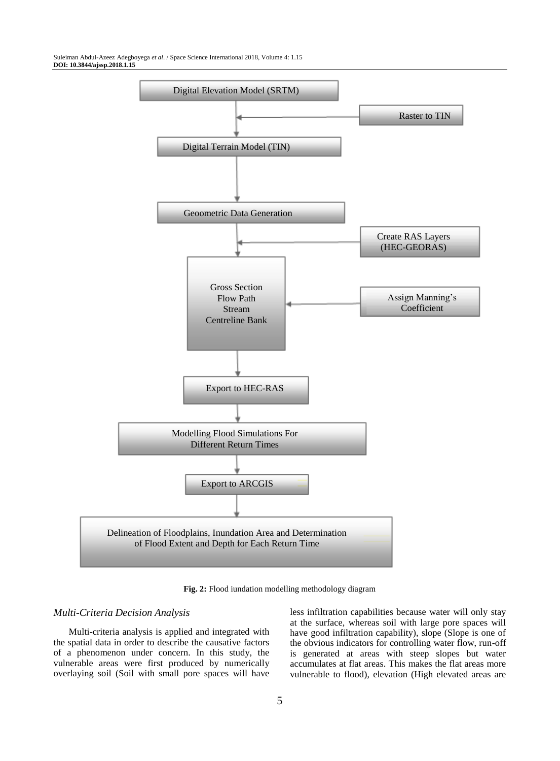

**Fig. 2:** Flood iundation modelling methodology diagram

### *Multi-Criteria Decision Analysis*

Multi-criteria analysis is applied and integrated with the spatial data in order to describe the causative factors of a phenomenon under concern. In this study, the vulnerable areas were first produced by numerically overlaying soil (Soil with small pore spaces will have less infiltration capabilities because water will only stay at the surface, whereas soil with large pore spaces will have good infiltration capability), slope (Slope is one of the obvious indicators for controlling water flow, run-off is generated at areas with steep slopes but water accumulates at flat areas. This makes the flat areas more vulnerable to flood), elevation (High elevated areas are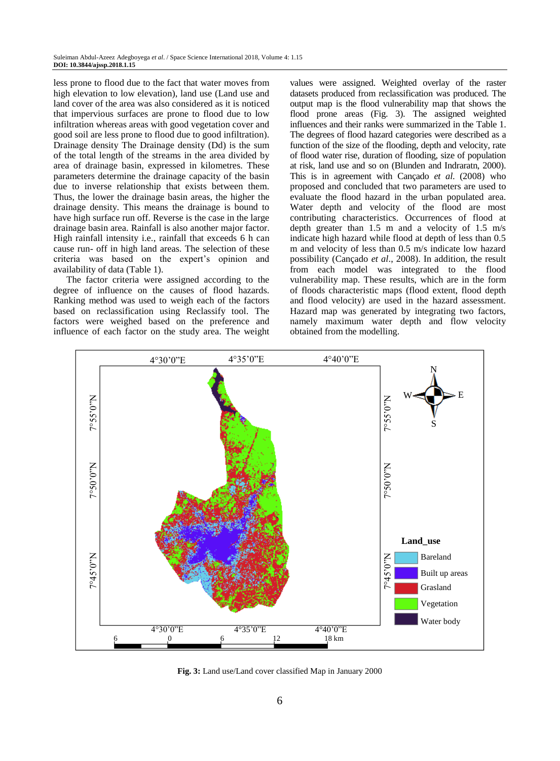less prone to flood due to the fact that water moves from high elevation to low elevation), land use (Land use and land cover of the area was also considered as it is noticed that impervious surfaces are prone to flood due to low infiltration whereas areas with good vegetation cover and good soil are less prone to flood due to good infiltration). Drainage density The Drainage density (Dd) is the sum of the total length of the streams in the area divided by area of drainage basin, expressed in kilometres. These parameters determine the drainage capacity of the basin due to inverse relationship that exists between them. Thus, the lower the drainage basin areas, the higher the drainage density. This means the drainage is bound to have high surface run off. Reverse is the case in the large drainage basin area. Rainfall is also another major factor. High rainfall intensity i.e., rainfall that exceeds 6 h can cause run- off in high land areas. The selection of these criteria was based on the expert's opinion and availability of data (Table 1).

The factor criteria were assigned according to the degree of influence on the causes of flood hazards. Ranking method was used to weigh each of the factors based on reclassification using Reclassify tool. The factors were weighed based on the preference and influence of each factor on the study area. The weight

values were assigned. Weighted overlay of the raster datasets produced from reclassification was produced. The output map is the flood vulnerability map that shows the flood prone areas (Fig. 3). The assigned weighted influences and their ranks were summarized in the Table 1. The degrees of flood hazard categories were described as a function of the size of the flooding, depth and velocity, rate of flood water rise, duration of flooding, size of population at risk, land use and so on (Blunden and Indraratn, 2000). This is in agreement with Cançado *et al*. (2008) who proposed and concluded that two parameters are used to evaluate the flood hazard in the urban populated area. Water depth and velocity of the flood are most contributing characteristics. Occurrences of flood at depth greater than 1.5 m and a velocity of 1.5 m/s indicate high hazard while flood at depth of less than 0.5 m and velocity of less than 0.5 m/s indicate low hazard possibility (Cançado *et al*., 2008). In addition, the result from each model was integrated to the flood vulnerability map. These results, which are in the form of floods characteristic maps (flood extent, flood depth and flood velocity) are used in the hazard assessment. Hazard map was generated by integrating two factors, namely maximum water depth and flow velocity obtained from the modelling.



**Fig. 3:** Land use/Land cover classified Map in January 2000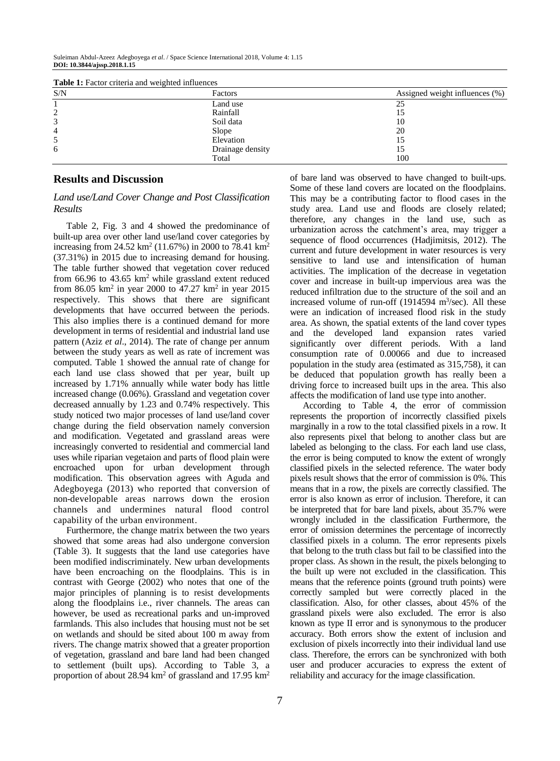| <b>Table 1.</b> Pactor Criteria and weighted influences |                  |                                |
|---------------------------------------------------------|------------------|--------------------------------|
| S/N                                                     | Factors          | Assigned weight influences (%) |
|                                                         | Land use         | 25                             |
|                                                         | Rainfall         |                                |
|                                                         | Soil data        | 10                             |
| 4                                                       | Slope            | 20                             |
|                                                         | Elevation        |                                |
| 6                                                       | Drainage density |                                |
|                                                         | Total            | 100                            |

**Table 1:** Factor criteria and weighted influences

## **Results and Discussion**

## *Land use/Land Cover Change and Post Classification Results*

Table 2, Fig. 3 and 4 showed the predominance of built-up area over other land use/land cover categories by increasing from 24.52 km<sup>2</sup> (11.67%) in 2000 to 78.41 km<sup>2</sup> (37.31%) in 2015 due to increasing demand for housing. The table further showed that vegetation cover reduced from 66.96 to 43.65  $km^2$  while grassland extent reduced from 86.05 km<sup>2</sup> in year 2000 to 47.27 km<sup>2</sup> in year 2015 respectively. This shows that there are significant developments that have occurred between the periods. This also implies there is a continued demand for more development in terms of residential and industrial land use pattern (Aziz *et al*., 2014). The rate of change per annum between the study years as well as rate of increment was computed. Table 1 showed the annual rate of change for each land use class showed that per year, built up increased by 1.71% annually while water body has little increased change (0.06%). Grassland and vegetation cover decreased annually by 1.23 and 0.74% respectively. This study noticed two major processes of land use/land cover change during the field observation namely conversion and modification. Vegetated and grassland areas were increasingly converted to residential and commercial land uses while riparian vegetaion and parts of flood plain were encroached upon for urban development through modification. This observation agrees with Aguda and Adegboyega (2013) who reported that conversion of non-developable areas narrows down the erosion channels and undermines natural flood control capability of the urban environment.

Furthermore, the change matrix between the two years showed that some areas had also undergone conversion (Table 3). It suggests that the land use categories have been modified indiscriminately. New urban developments have been encroaching on the floodplains. This is in contrast with George (2002) who notes that one of the major principles of planning is to resist developments along the floodplains i.e., river channels. The areas can however, be used as recreational parks and un-improved farmlands. This also includes that housing must not be set on wetlands and should be sited about 100 m away from rivers. The change matrix showed that a greater proportion of vegetation, grassland and bare land had been changed to settlement (built ups). According to Table 3, a proportion of about 28.94  $km^2$  of grassland and 17.95  $km^2$ 

of bare land was observed to have changed to built-ups. Some of these land covers are located on the floodplains. This may be a contributing factor to flood cases in the study area. Land use and floods are closely related; therefore, any changes in the land use, such as urbanization across the catchment's area, may trigger a sequence of flood occurrences (Hadjimitsis, 2012). The current and future development in water resources is very sensitive to land use and intensification of human activities. The implication of the decrease in vegetation cover and increase in built-up impervious area was the reduced infiltration due to the structure of the soil and an increased volume of run-off  $(1914594 \text{ m}^3/\text{sec})$ . All these were an indication of increased flood risk in the study area. As shown, the spatial extents of the land cover types and the developed land expansion rates varied significantly over different periods. With a land consumption rate of 0.00066 and due to increased population in the study area (estimated as 315,758), it can be deduced that population growth has really been a driving force to increased built ups in the area. This also affects the modification of land use type into another.

According to Table 4, the error of commission represents the proportion of incorrectly classified pixels marginally in a row to the total classified pixels in a row. It also represents pixel that belong to another class but are labeled as belonging to the class. For each land use class, the error is being computed to know the extent of wrongly classified pixels in the selected reference. The water body pixels result shows that the error of commission is 0%. This means that in a row, the pixels are correctly classified. The error is also known as error of inclusion. Therefore, it can be interpreted that for bare land pixels, about 35.7% were wrongly included in the classification Furthermore, the error of omission determines the percentage of incorrectly classified pixels in a column. The error represents pixels that belong to the truth class but fail to be classified into the proper class. As shown in the result, the pixels belonging to the built up were not excluded in the classification. This means that the reference points (ground truth points) were correctly sampled but were correctly placed in the classification. Also, for other classes, about 45% of the grassland pixels were also excluded. The error is also known as type II error and is synonymous to the producer accuracy. Both errors show the extent of inclusion and exclusion of pixels incorrectly into their individual land use class. Therefore, the errors can be synchronized with both user and producer accuracies to express the extent of reliability and accuracy for the image classification.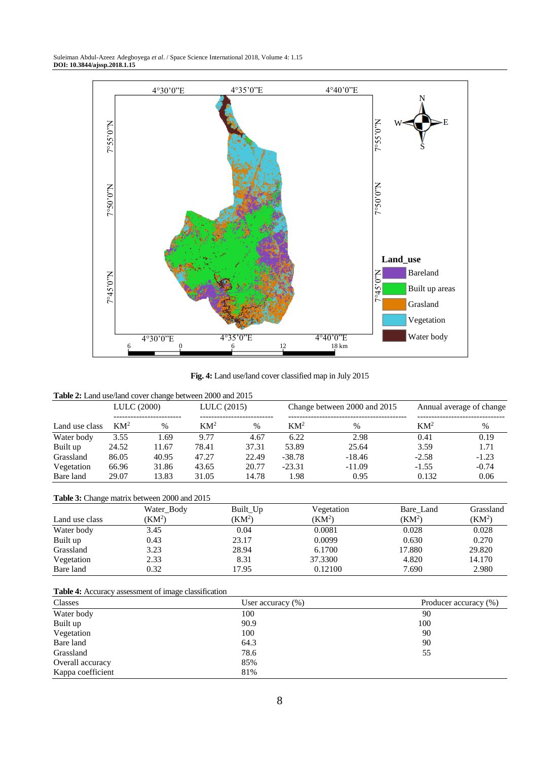

**Fig. 4:** Land use/land cover classified map in July 2015

| <b>Table 2:</b> Land use/land cover change between 2000 and 2015 |             |       |             |       |                              |          |                          |         |
|------------------------------------------------------------------|-------------|-------|-------------|-------|------------------------------|----------|--------------------------|---------|
|                                                                  | LULC (2000) |       | LULC (2015) |       | Change between 2000 and 2015 |          | Annual average of change |         |
| Land use class                                                   | $KM^2$      | $\%$  | $KM^2$      | $\%$  | $KM^2$                       | $\%$     | $KM^2$                   | %       |
| Water body                                                       | 3.55        | 1.69  | 9.77        | 4.67  | 6.22                         | 2.98     | 0.41                     | 0.19    |
| Built up                                                         | 24.52       | 11.67 | 78.41       | 37.31 | 53.89                        | 25.64    | 3.59                     | 1.71    |
| Grassland                                                        | 86.05       | 40.95 | 47.27       | 22.49 | $-38.78$                     | $-18.46$ | $-2.58$                  | $-1.23$ |
| Vegetation                                                       | 66.96       | 31.86 | 43.65       | 20.77 | $-23.31$                     | $-11.09$ | $-1.55$                  | $-0.74$ |
| Bare land                                                        | 29.07       | 13.83 | 31.05       | 14.78 | 1.98                         | 0.95     | 0.132                    | 0.06    |

# **Table 3:** Change matrix between 2000 and 2015

| Land use class | Water_Body<br>$KM^2$ | Built_Up<br>(KM <sup>2</sup> ) | Vegetation<br>(KM <sup>2</sup> ) | Bare Land<br>(KM <sup>2</sup> ) | Grassland<br>(KM <sup>2</sup> ) |
|----------------|----------------------|--------------------------------|----------------------------------|---------------------------------|---------------------------------|
| Water body     | 3.45                 | 0.04                           | 0.0081                           | 0.028                           | 0.028                           |
| Built up       | 0.43                 | 23.17                          | 0.0099                           | 0.630                           | 0.270                           |
| Grassland      | 3.23                 | 28.94                          | 6.1700                           | 17.880                          | 29.820                          |
| Vegetation     | 2.33                 | 8.31                           | 37.3300                          | 4.820                           | 14.170                          |
| Bare land      | 0.32                 | 17.95                          | 0.12100                          | 7.690                           | 2.980                           |

# **Table 4:** Accuracy assessment of image classification

| Classes           | User accuracy $(\%)$ | Producer accuracy (%) |  |  |
|-------------------|----------------------|-----------------------|--|--|
| Water body        | 100                  | 90                    |  |  |
| Built up          | 90.9                 | 100                   |  |  |
| Vegetation        | 100                  | 90                    |  |  |
| Bare land         | 64.3                 | 90                    |  |  |
| Grassland         | 78.6                 | 55                    |  |  |
| Overall accuracy  | 85%                  |                       |  |  |
| Kappa coefficient | 81%                  |                       |  |  |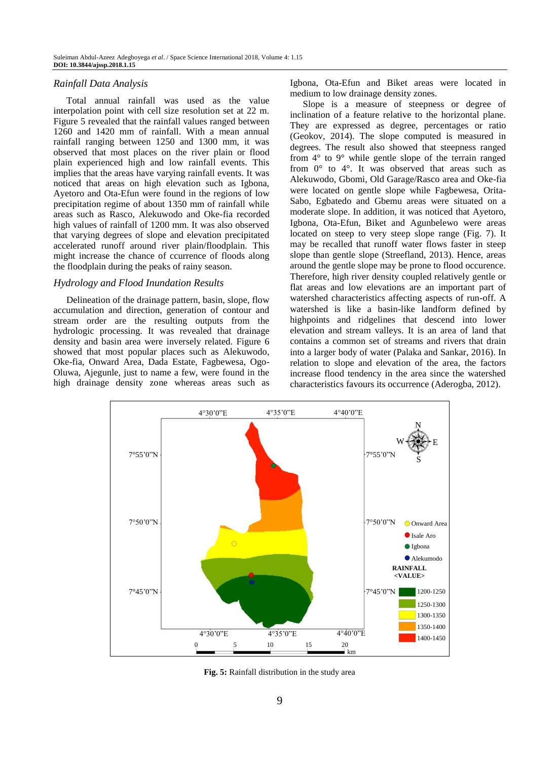## *Rainfall Data Analysis*

Total annual rainfall was used as the value interpolation point with cell size resolution set at 22 m. Figure 5 revealed that the rainfall values ranged between 1260 and 1420 mm of rainfall. With a mean annual rainfall ranging between 1250 and 1300 mm, it was observed that most places on the river plain or flood plain experienced high and low rainfall events. This implies that the areas have varying rainfall events. It was noticed that areas on high elevation such as Igbona, Ayetoro and Ota-Efun were found in the regions of low precipitation regime of about 1350 mm of rainfall while areas such as Rasco, Alekuwodo and Oke-fia recorded high values of rainfall of 1200 mm. It was also observed that varying degrees of slope and elevation precipitated accelerated runoff around river plain/floodplain. This might increase the chance of ccurrence of floods along the floodplain during the peaks of rainy season.

#### *Hydrology and Flood Inundation Results*

Delineation of the drainage pattern, basin, slope, flow accumulation and direction, generation of contour and stream order are the resulting outputs from the hydrologic processing. It was revealed that drainage density and basin area were inversely related. Figure 6 showed that most popular places such as Alekuwodo, Oke-fia, Onward Area, Dada Estate, Fagbewesa, Ogo-Oluwa, Ajegunle, just to name a few, were found in the high drainage density zone whereas areas such as Igbona, Ota-Efun and Biket areas were located in medium to low drainage density zones.

Slope is a measure of steepness or degree of inclination of a feature relative to the horizontal plane. They are expressed as degree, percentages or ratio (Geokov, 2014). The slope computed is measured in degrees. The result also showed that steepness ranged from 4° to 9° while gentle slope of the terrain ranged from 0° to 4°. It was observed that areas such as Alekuwodo, Gbomi, Old Garage/Rasco area and Oke-fia were located on gentle slope while Fagbewesa, Orita-Sabo, Egbatedo and Gbemu areas were situated on a moderate slope. In addition, it was noticed that Ayetoro, Igbona, Ota-Efun, Biket and Agunbelewo were areas located on steep to very steep slope range (Fig. 7). It may be recalled that runoff water flows faster in steep slope than gentle slope (Streefland, 2013). Hence, areas around the gentle slope may be prone to flood occurence. Therefore, high river density coupled relatively gentle or flat areas and low elevations are an important part of watershed characteristics affecting aspects of run-off. A watershed is like a basin-like landform defined by highpoints and ridgelines that descend into lower elevation and stream valleys. It is an area of land that contains a common set of streams and rivers that drain into a larger body of water (Palaka and Sankar, 2016). In relation to slope and elevation of the area, the factors increase flood tendency in the area since the watershed characteristics favours its occurrence (Aderogba, 2012).



**Fig. 5:** Rainfall distribution in the study area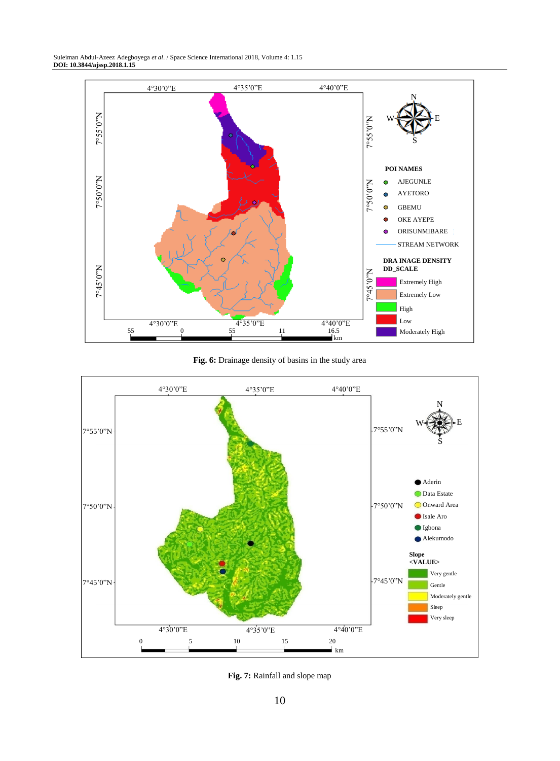

**Fig. 6:** Drainage density of basins in the study area



**Fig. 7:** Rainfall and slope map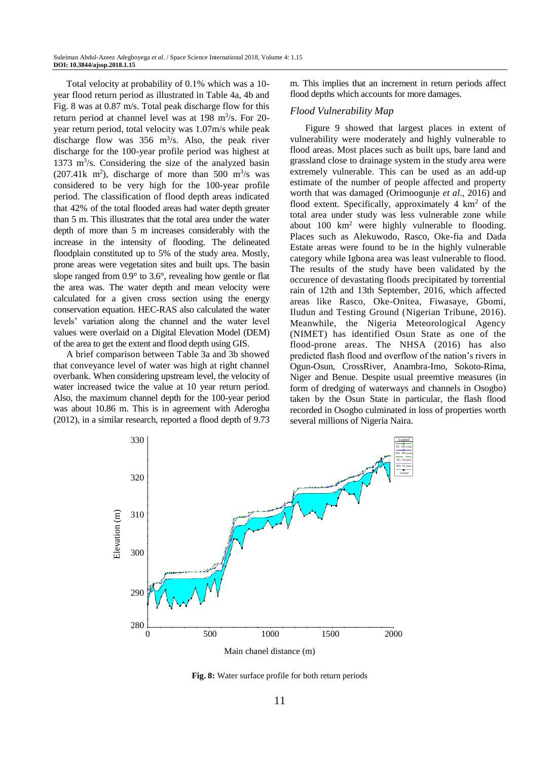Total velocity at probability of 0.1% which was a 10 year flood return period as illustrated in Table 4a, 4b and Fig. 8 was at 0.87 m/s. Total peak discharge flow for this return period at channel level was at 198 m<sup>3</sup>/s. For 20year return period, total velocity was 1.07m/s while peak discharge flow was  $356 \text{ m}^3/\text{s}$ . Also, the peak river discharge for the 100-year profile period was highest at 1373 m<sup>3</sup> /s. Considering the size of the analyzed basin  $(207.41k \text{ m}^2)$ , discharge of more than 500 m<sup>3</sup>/s was considered to be very high for the 100-year profile period. The classification of flood depth areas indicated that 42% of the total flooded areas had water depth greater than 5 m. This illustrates that the total area under the water depth of more than 5 m increases considerably with the increase in the intensity of flooding. The delineated floodplain constituted up to 5% of the study area. Mostly, prone areas were vegetation sites and built ups. The basin slope ranged from 0.9° to 3.6°, revealing how gentle or flat the area was. The water depth and mean velocity were calculated for a given cross section using the energy conservation equation. HEC-RAS also calculated the water levels' variation along the channel and the water level values were overlaid on a Digital Elevation Model (DEM) of the area to get the extent and flood depth using GIS.

A brief comparison between Table 3a and 3b showed that conveyance level of water was high at right channel overbank. When considering upstream level, the velocity of water increased twice the value at 10 year return period. Also, the maximum channel depth for the 100-year period was about 10.86 m. This is in agreement with Aderogba (2012), in a similar research, reported a flood depth of 9.73

m. This implies that an increment in return periods affect flood depths which accounts for more damages.

#### *Flood Vulnerability Map*

Figure 9 showed that largest places in extent of vulnerability were moderately and highly vulnerable to flood areas. Most places such as built ups, bare land and grassland close to drainage system in the study area were extremely vulnerable. This can be used as an add-up estimate of the number of people affected and property worth that was damaged (Orimoogunje *et al*., 2016) and flood extent. Specifically, approximately  $4 \text{ km}^2$  of the total area under study was less vulnerable zone while about 100 km<sup>2</sup> were highly vulnerable to flooding. Places such as Alekuwodo, Rasco, Oke-fia and Dada Estate areas were found to be in the highly vulnerable category while Igbona area was least vulnerable to flood. The results of the study have been validated by the occurence of devastating floods precipitated by torrential rain of 12th and 13th September, 2016, which affected areas like Rasco, Oke-Onitea, Fiwasaye, Gbomi, Iludun and Testing Ground (Nigerian Tribune, 2016). Meanwhile, the Nigeria Meteorological Agency (NIMET) has identified Osun State as one of the flood-prone areas. The NHSA (2016) has also predicted flash flood and overflow of the nation's rivers in Ogun-Osun, CrossRiver, Anambra-Imo, Sokoto-Rima, Niger and Benue. Despite usual preemtive measures (in form of dredging of waterways and channels in Osogbo) taken by the Osun State in particular, the flash flood recorded in Osogbo culminated in loss of properties worth several millions of Nigeria Naira.



**Fig. 8:** Water surface profile for both return periods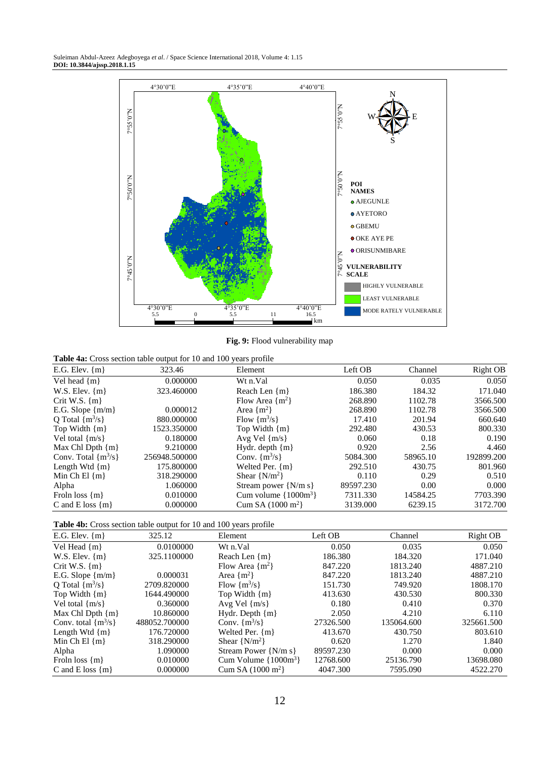

**Fig. 9:** Flood vulnerability map

**Table 4a:** Cross section table output for 10 and 100 years profile

| E.G. Elev. $\{m\}$      | 323.46        | Element                     | Left OB   | Channel  | Right OB   |
|-------------------------|---------------|-----------------------------|-----------|----------|------------|
| Vel head $\{m\}$        | 0.000000      | Wt n.Val                    | 0.050     | 0.035    | 0.050      |
| W.S. Elev. $\{m\}$      | 323.460000    | Reach Len {m}               | 186.380   | 184.32   | 171.040    |
| Crit W.S. $\{m\}$       |               | Flow Area $\{m^2\}$         | 268.890   | 1102.78  | 3566.500   |
| E.G. Slope ${m/m}$      | 0.000012      | Area $\{m^2\}$              | 268.890   | 1102.78  | 3566.500   |
| O Total $\{m^3/s\}$     | 880.000000    | Flow $\{m^3/s\}$            | 17.410    | 201.94   | 660.640    |
| Top Width $\{m\}$       | 1523.350000   | Top Width $\{m\}$           | 292.480   | 430.53   | 800.330    |
| Vel total $\{m/s\}$     | 0.180000      | Avg Vel $\{m/s\}$           | 0.060     | 0.18     | 0.190      |
| Max Chl Dpth $\{m\}$    | 9.210000      | Hydr. depth $\{m\}$         | 0.920     | 2.56     | 4.460      |
| Conv. Total $\{m^3/s\}$ | 256948.500000 | Conv. $\{m^3/s\}$           | 5084.300  | 58965.10 | 192899.200 |
| Length Wtd $\{m\}$      | 175.800000    | Welted Per. ${m}$           | 292.510   | 430.75   | 801.960    |
| Min Ch El $\{m\}$       | 318.290000    | Shear $\{N/m^2\}$           | 0.110     | 0.29     | 0.510      |
| Alpha                   | 1.060000      | Stream power $\{N/m\$       | 89597.230 | 0.00     | 0.000      |
| Froln loss $\{m\}$      | 0.010000      | Cum volume $\{1000m^3\}$    | 7311.330  | 14584.25 | 7703.390   |
| C and E loss $\{m\}$    | 0.000000      | Cum SA $(1000 \text{ m}^2)$ | 3139.000  | 6239.15  | 3172.700   |

| Table 4b: Cross section table output for 10 and 100 years profile |  |  |  |  |  |  |  |  |  |
|-------------------------------------------------------------------|--|--|--|--|--|--|--|--|--|
|-------------------------------------------------------------------|--|--|--|--|--|--|--|--|--|

| E.G. Elev. $\{m\}$      | 325.12        | Element                     | Left OB   | Channel    | Right OB   |
|-------------------------|---------------|-----------------------------|-----------|------------|------------|
| Vel Head $\{m\}$        | 0.0100000     | Wt n.Val                    | 0.050     | 0.035      | 0.050      |
| W.S. Elev. $\{m\}$      | 325.1100000   | Reach Len $\{m\}$           | 186.380   | 184.320    | 171.040    |
| Crit W.S. $\{m\}$       |               | Flow Area $\{m^2\}$         | 847.220   | 1813.240   | 4887.210   |
| E.G. Slope ${m/m}$      | 0.000031      | Area $\{m^2\}$              | 847.220   | 1813.240   | 4887.210   |
| Q Total $\{m^3/s\}$     | 2709.820000   | Flow $\{m^3/s\}$            | 151.730   | 749.920    | 1808.170   |
| Top Width $\{m\}$       | 1644.490000   | Top Width $\{m\}$           | 413.630   | 430.530    | 800.330    |
| Vel total $\{m/s\}$     | 0.360000      | Avg Vel $\{m/s\}$           | 0.180     | 0.410      | 0.370      |
| Max Chl Dpth $\{m\}$    | 10.860000     | Hydr. Depth $\{m\}$         | 2.050     | 4.210      | 6.110      |
| Conv. total $\{m^3/s\}$ | 488052.700000 | Conv. $\{m^3/s\}$           | 27326.500 | 135064.600 | 325661.500 |
| Length Wtd $\{m\}$      | 176.720000    | Welted Per. $\{m\}$         | 413.670   | 430.750    | 803.610    |
| Min Ch El $\{m\}$       | 318.290000    | Shear $\{N/m^2\}$           | 0.620     | 1.270      | 1.840      |
| Alpha                   | 1.090000      | Stream Power $\{N/m\$       | 89597.230 | 0.000      | 0.000      |
| Froln loss $\{m\}$      | 0.010000      | Cum Volume $\{1000m^3\}$    | 12768.600 | 25136.790  | 13698.080  |
| C and E loss $\{m\}$    | 0.000000      | Cum SA $(1000 \text{ m}^2)$ | 4047.300  | 7595.090   | 4522.270   |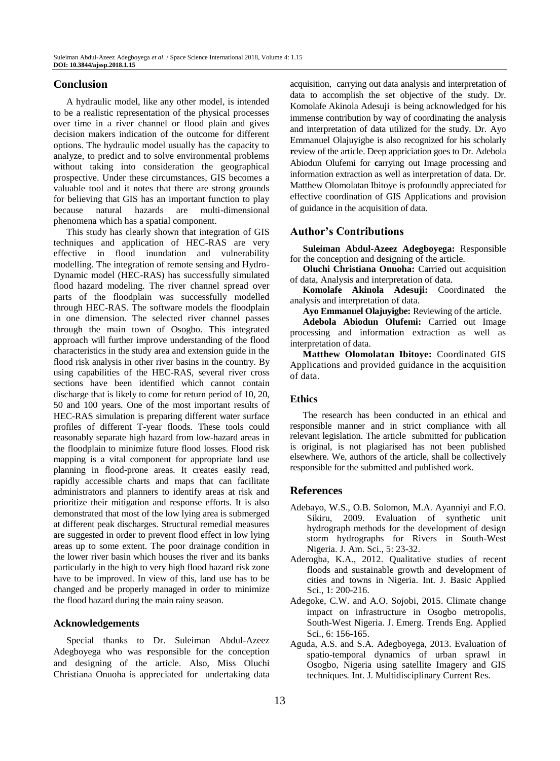# **Conclusion**

A hydraulic model, like any other model, is intended to be a realistic representation of the physical processes over time in a river channel or flood plain and gives decision makers indication of the outcome for different options. The hydraulic model usually has the capacity to analyze, to predict and to solve environmental problems without taking into consideration the geographical prospective. Under these circumstances, GIS becomes a valuable tool and it notes that there are strong grounds for believing that GIS has an important function to play because natural hazards are multi-dimensional phenomena which has a spatial component.

This study has clearly shown that integration of GIS techniques and application of HEC-RAS are very effective in flood inundation and vulnerability modelling. The integration of remote sensing and Hydro-Dynamic model (HEC-RAS) has successfully simulated flood hazard modeling. The river channel spread over parts of the floodplain was successfully modelled through HEC-RAS. The software models the floodplain in one dimension. The selected river channel passes through the main town of Osogbo. This integrated approach will further improve understanding of the flood characteristics in the study area and extension guide in the flood risk analysis in other river basins in the country. By using capabilities of the HEC-RAS, several river cross sections have been identified which cannot contain discharge that is likely to come for return period of 10, 20, 50 and 100 years. One of the most important results of HEC-RAS simulation is preparing different water surface profiles of different T-year floods. These tools could reasonably separate high hazard from low-hazard areas in the floodplain to minimize future flood losses. Flood risk mapping is a vital component for appropriate land use planning in flood-prone areas. It creates easily read, rapidly accessible charts and maps that can facilitate administrators and planners to identify areas at risk and prioritize their mitigation and response efforts. It is also demonstrated that most of the low lying area is submerged at different peak discharges. Structural remedial measures are suggested in order to prevent flood effect in low lying areas up to some extent. The poor drainage condition in the lower river basin which houses the river and its banks particularly in the high to very high flood hazard risk zone have to be improved. In view of this, land use has to be changed and be properly managed in order to minimize the flood hazard during the main rainy season.

## **Acknowledgements**

Special thanks to Dr. Suleiman Abdul-Azeez Adegboyega who was **r**esponsible for the conception and designing of the article. Also, Miss Oluchi Christiana Onuoha is appreciated for undertaking data acquisition, carrying out data analysis and interpretation of data to accomplish the set objective of the study. Dr. Komolafe Akinola Adesuji is being acknowledged for his immense contribution by way of coordinating the analysis and interpretation of data utilized for the study. Dr. Ayo Emmanuel Olajuyigbe is also recognized for his scholarly **r**eview of the article. Deep appriciation goes to Dr. Adebola Abiodun Olufemi for **c**arrying out Image processing and information extraction as well as interpretation of data. Dr. Matthew Olomolatan Ibitoye is profoundly appreciated for effective coordination of GIS Applications and provision of guidance in the acquisition of data.

# **Author's Contributions**

**Suleiman Abdul-Azeez Adegboyega:** Responsible for the conception and designing of the article.

**Oluchi Christiana Onuoha:** Carried out acquisition of data, Analysis and interpretation of data.

**Komolafe Akinola Adesuji:** Coordinated the analysis and interpretation of data.

**Ayo Emmanuel Olajuyigbe:** Reviewing of the article.

**Adebola Abiodun Olufemi:** Carried out Image processing and information extraction as well as interpretation of data.

**Matthew Olomolatan Ibitoye:** Coordinated GIS Applications and provided guidance in the acquisition of data.

## **Ethics**

The research has been conducted in an ethical and responsible manner and in strict compliance with all relevant legislation. The article submitted for publication is original, is not plagiarised has not been published elsewhere. We, authors of the article, shall be collectively responsible for the submitted and published work.

# **References**

- Adebayo, W.S., O.B. Solomon, M.A. Ayanniyi and F.O. Sikiru, 2009. Evaluation of synthetic unit hydrograph methods for the development of design storm hydrographs for Rivers in South-West Nigeria. J. Am. Sci., 5: 23-32.
- Aderogba, K.A., 2012. Qualitative studies of recent floods and sustainable growth and development of cities and towns in Nigeria. Int. J. Basic Applied Sci., 1: 200-216.
- Adegoke, C.W. and A.O. Sojobi, 2015. Climate change impact on infrastructure in Osogbo metropolis, South-West Nigeria. J. Emerg. Trends Eng. Applied Sci., 6: 156-165.
- Aguda, A.S. and S.A. Adegboyega, 2013. Evaluation of spatio-temporal dynamics of urban sprawl in Osogbo, Nigeria using satellite Imagery and GIS techniques*.* Int. J. Multidisciplinary Current Res.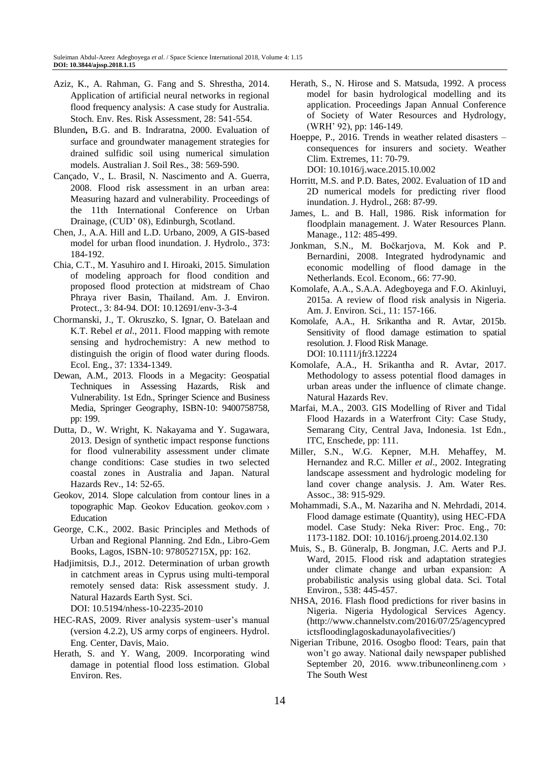- Aziz, K., A. Rahman, G. Fang and S. Shrestha, 2014. Application of artificial neural networks in regional flood frequency analysis: A case study for Australia. Stoch. Env. Res. Risk Assessment, 28: 541-554.
- Blunden**,** B.G. and B. Indraratna, 2000. Evaluation of surface and groundwater management strategies for drained sulfidic soil using numerical simulation models. Australian J. Soil Res., 38: 569-590.
- Cançado, V., L. Brasil, N. Nascimento and A. Guerra, 2008. Flood risk assessment in an urban area: Measuring hazard and vulnerability. Proceedings of the 11th International Conference on Urban Drainage, (CUD' 08), Edinburgh, Scotland.
- Chen, J., A.A. Hill and L.D. Urbano, 2009, A GIS-based model for urban flood inundation. J. Hydrolo., 373: 184-192.
- Chia, C.T., M. Yasuhiro and I. Hiroaki, 2015. Simulation of modeling approach for flood condition and proposed flood protection at midstream of Chao Phraya river Basin, Thailand. Am. J. Environ. Protect., 3: 84-94. DOI: 10.12691/env-3-3-4
- Chormanski, J., T. Okruszko, S. Ignar, O. Batelaan and K.T. Rebel *et al*., 2011. Flood mapping with remote sensing and hydrochemistry: A new method to distinguish the origin of flood water during floods. Ecol. Eng., 37: 1334-1349.
- Dewan, A.M., 2013. Floods in a Megacity: Geospatial Techniques in Assessing Hazards, Risk and Vulnerability. 1st Edn., Springer Science and Business Media, Springer Geography, ISBN-10: 9400758758, pp: 199.
- Dutta, D., W. Wright, K. Nakayama and Y. Sugawara, 2013. Design of synthetic impact response functions for flood vulnerability assessment under climate change conditions: Case studies in two selected coastal zones in Australia and Japan. Natural Hazards Rev., 14: 52-65.
- Geokov, 2014. Slope calculation from contour lines in a topographic Map. Geokov Education. geokov.com › Education
- George, C.K., 2002. Basic Principles and Methods of Urban and Regional Planning. 2nd Edn., Libro-Gem Books, Lagos, ISBN-10: 978052715X, pp: 162.
- Hadjimitsis, D.J., 2012. Determination of urban growth in catchment areas in Cyprus using multi-temporal remotely sensed data: Risk assessment study. J. Natural Hazards Earth Syst. Sci. DOI: 10.5194/nhess-10-2235-2010
- HEC-RAS, 2009. River analysis system–user's manual (version 4.2.2), US army corps of engineers. Hydrol. Eng. Center, Davis, Maio.
- Herath, S. and Y. Wang, 2009. Incorporating wind damage in potential flood loss estimation. Global Environ. Res.
- Herath, S., N. Hirose and S. Matsuda, 1992. A process model for basin hydrological modelling and its application. Proceedings Japan Annual Conference of Society of Water Resources and Hydrology, (WRH' 92), pp: 146-149.
- Hoeppe, P., 2016. Trends in weather related disasters consequences for insurers and society. Weather Clim. Extremes, 11: 70-79. DOI: 10.1016/j.wace.2015.10.002
- Horritt, M.S. and P.D. Bates, 2002. Evaluation of 1D and 2D numerical models for predicting river flood inundation. J. Hydrol., 268: 87-99.
- James, L. and B. Hall, 1986. Risk information for floodplain management. J. Water Resources Plann. Manage., 112: 485-499.
- Jonkman, S.N., M. Bočkarjova, M. Kok and P. Bernardini, 2008. Integrated hydrodynamic and economic modelling of flood damage in the Netherlands. Ecol. Econom., 66: 77-90.
- Komolafe, A.A., S.A.A. Adegboyega and F.O. Akinluyi, 2015a. A review of flood risk analysis in Nigeria. Am. J. Environ. Sci., 11: 157-166.
- Komolafe, A.A., H. Srikantha and R. Avtar, 2015b. Sensitivity of flood damage estimation to spatial resolution. J. Flood Risk Manage. DOI: 10.1111/jfr3.12224
- Komolafe, A.A., H. Srikantha and R. Avtar, 2017. Methodology to assess potential flood damages in urban areas under the influence of climate change. Natural Hazards Rev.
- Marfai, M.A., 2003. GIS Modelling of River and Tidal Flood Hazards in a Waterfront City: Case Study, Semarang City, Central Java, Indonesia. 1st Edn., ITC, Enschede, pp: 111.
- Miller, S.N., W.G. Kepner, M.H. Mehaffey, M. Hernandez and R.C. Miller *et al*., 2002. Integrating landscape assessment and hydrologic modeling for land cover change analysis. J. Am. Water Res. Assoc., 38: 915-929.
- Mohammadi, S.A., M. Nazariha and N. Mehrdadi, 2014. Flood damage estimate (Quantity), using HEC-FDA model. Case Study: Neka River: Proc. Eng., 70: 1173-1182. DOI: 10.1016/j.proeng.2014.02.130
- Muis, S., B. Güneralp, B. Jongman, J.C. Aerts and P.J. Ward, 2015. Flood risk and adaptation strategies under climate change and urban expansion: A probabilistic analysis using global data. Sci. Total Environ., 538: 445-457.
- NHSA, 2016. Flash flood predictions for river basins in Nigeria. Nigeria Hydological Services Agency. [\(http://www.channelstv.com/2016/07/25/agencypred](http://www.channelstv.com/2016/07/25/agencypredictsfloodinglagoskadunayolafivecities/) [ictsfloodinglagoskadunayolafivecities/\)](http://www.channelstv.com/2016/07/25/agencypredictsfloodinglagoskadunayolafivecities/)
- Nigerian Tribune, 2016. Osogbo flood: Tears, pain that won't go away. National daily newspaper published September 20, 2016. www.tribuneonlineng.com > The South West